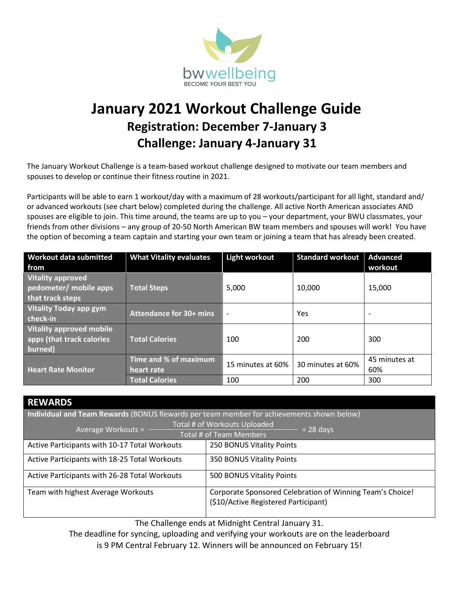

# **January 2021 Workout Challenge Guide Registration: December 7-January 3 Challenge: January 4-January 31**

The January Workout Challenge is a team-based workout challenge designed to motivate our team members and spouses to develop or continue their fitness routine in 2021.

Participants will be able to earn 1 workout/day with a maximum of 28 workouts/participant for all light, standard and/ or advanced workouts (see chart below) completed during the challenge. All active North American associates AND spouses are eligible to join. This time around, the teams are up to you – your department, your BWU classmates, your friends from other divisions – any group of 20-50 North American BW team members and spouses will work! You have the option of becoming a team captain and starting your own team or joining a team that has already been created.

| <b>Workout data submitted</b><br>from                                   | <b>What Vitality evaluates</b>      | <b>Light workout</b>     | <b>Standard workout</b> | <b>Advanced</b><br>workout |
|-------------------------------------------------------------------------|-------------------------------------|--------------------------|-------------------------|----------------------------|
| <b>Vitality approved</b><br>pedometer/ mobile apps<br>that track steps  | <b>Total Steps</b>                  | 5,000                    | 10,000                  | 15,000                     |
| <b>Vitality Today app gym</b><br>check-in                               | <b>Attendance for 30+ mins</b>      | $\overline{\phantom{a}}$ | Yes                     | $\overline{\phantom{0}}$   |
| <b>Vitality approved mobile</b><br>apps (that track calories<br>burned) | <b>Total Calories</b>               | 100                      | 200                     | 300                        |
| <b>Heart Rate Monitor</b>                                               | Time and % of maximum<br>heart rate | 15 minutes at 60%        | 30 minutes at 60%       | 45 minutes at<br>60%       |
|                                                                         | <b>Total Calories</b>               | 100                      | 200                     | 300                        |

| <b>REWARDS</b>                                                                                    |                                                                                                   |  |  |  |
|---------------------------------------------------------------------------------------------------|---------------------------------------------------------------------------------------------------|--|--|--|
| Individual and Team Rewards (BONUS Rewards per team member for achievements shown below)          |                                                                                                   |  |  |  |
| Total # of Workouts Uploaded<br>Average Workouts = -<br>$\div$ 28 days<br>Total # of Team Members |                                                                                                   |  |  |  |
| Active Participants with 10-17 Total Workouts                                                     | 250 BONUS Vitality Points                                                                         |  |  |  |
| Active Participants with 18-25 Total Workouts                                                     | <b>350 BONUS Vitality Points</b>                                                                  |  |  |  |
| Active Participants with 26-28 Total Workouts                                                     | 500 BONUS Vitality Points                                                                         |  |  |  |
| Team with highest Average Workouts                                                                | Corporate Sponsored Celebration of Winning Team's Choice!<br>(\$10/Active Registered Participant) |  |  |  |

The Challenge ends at Midnight Central January 31.

The deadline for syncing, uploading and verifying your workouts are on the leaderboard is 9 PM Central February 12. Winners will be announced on February 15!